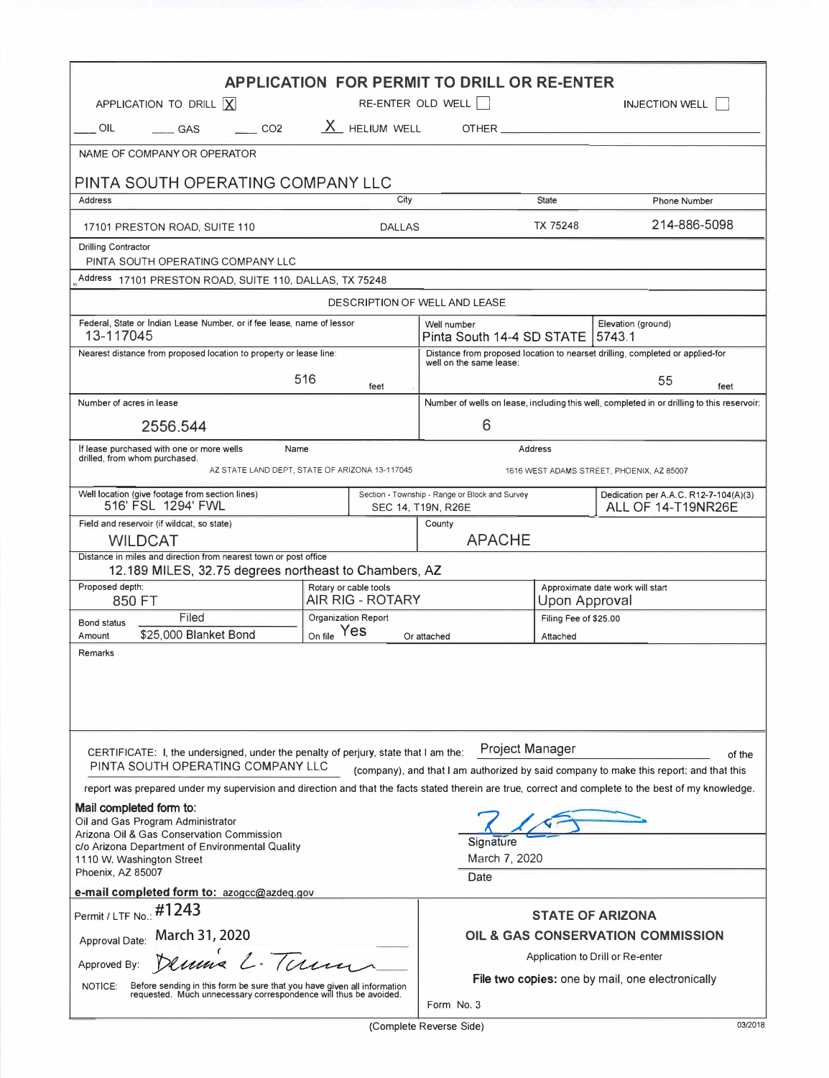| <b>APPLICATION FOR PERMIT TO DRILL OR RE-ENTER</b>                                                                                                                                                                                              |                                           |                                                                                                          |                                                   |                                                                                            |
|-------------------------------------------------------------------------------------------------------------------------------------------------------------------------------------------------------------------------------------------------|-------------------------------------------|----------------------------------------------------------------------------------------------------------|---------------------------------------------------|--------------------------------------------------------------------------------------------|
| APPLICATION TO DRILL  X                                                                                                                                                                                                                         |                                           | RE-ENTER OLD WELL                                                                                        |                                                   | <b>INJECTION WELL</b>                                                                      |
| OIL<br>CO <sub>2</sub><br>GAS                                                                                                                                                                                                                   | X HELIUM WELL                             |                                                                                                          |                                                   |                                                                                            |
| NAME OF COMPANY OR OPERATOR                                                                                                                                                                                                                     |                                           |                                                                                                          |                                                   |                                                                                            |
| PINTA SOUTH OPERATING COMPANY LLC<br>City                                                                                                                                                                                                       |                                           |                                                                                                          |                                                   |                                                                                            |
| Address                                                                                                                                                                                                                                         |                                           |                                                                                                          | <b>State</b>                                      | <b>Phone Number</b>                                                                        |
| 17101 PRESTON ROAD, SUITE 110<br><b>DALLAS</b>                                                                                                                                                                                                  |                                           |                                                                                                          | TX 75248                                          | 214-886-5098                                                                               |
| <b>Drilling Contractor</b><br>PINTA SOUTH OPERATING COMPANY LLC                                                                                                                                                                                 |                                           |                                                                                                          |                                                   |                                                                                            |
| Address 17101 PRESTON ROAD, SUITE 110, DALLAS, TX 75248                                                                                                                                                                                         |                                           |                                                                                                          |                                                   |                                                                                            |
| DESCRIPTION OF WELL AND LEASE                                                                                                                                                                                                                   |                                           |                                                                                                          |                                                   |                                                                                            |
| Federal, State or Indian Lease Number, or if fee lease, name of lessor<br>13-117045                                                                                                                                                             |                                           | Well number<br>Elevation (ground)<br>Pinta South 14-4 SD STATE  <br>5743.1                               |                                                   |                                                                                            |
| Nearest distance from proposed location to property or lease line:                                                                                                                                                                              |                                           | Distance from proposed location to nearset drilling, completed or applied-for<br>well on the same lease: |                                                   |                                                                                            |
| 516<br>feet                                                                                                                                                                                                                                     |                                           | 55<br>feet                                                                                               |                                                   |                                                                                            |
| Number of acres in lease                                                                                                                                                                                                                        |                                           |                                                                                                          |                                                   | Number of wells on lease, including this well, completed in or drilling to this reservoir: |
| 2556.544                                                                                                                                                                                                                                        | 6                                         |                                                                                                          |                                                   |                                                                                            |
| If lease purchased with one or more wells<br>Name<br><b>Address</b><br>drilled, from whom purchased.                                                                                                                                            |                                           |                                                                                                          |                                                   |                                                                                            |
| AZ STATE LAND DEPT, STATE OF ARIZONA 13-117045<br>1616 WEST ADAMS STREET, PHOENIX, AZ 85007                                                                                                                                                     |                                           |                                                                                                          |                                                   |                                                                                            |
| Well location (give footage from section lines)<br>516' FSL 1294' FWL                                                                                                                                                                           |                                           | Section - Township - Range or Block and Survey<br>SEC 14, T19N, R26E                                     |                                                   | Dedication per A.A.C. R12-7-104(A)(3)<br>ALL OF 14-T19NR26E                                |
| Field and reservoir (if wildcat, so state)                                                                                                                                                                                                      |                                           | County                                                                                                   |                                                   |                                                                                            |
| <b>APACHE</b><br><b>WILDCAT</b><br>Distance in miles and direction from nearest town or post office                                                                                                                                             |                                           |                                                                                                          |                                                   |                                                                                            |
| 12.189 MILES, 32.75 degrees northeast to Chambers, AZ                                                                                                                                                                                           |                                           |                                                                                                          |                                                   |                                                                                            |
| Proposed depth:<br>850 FT                                                                                                                                                                                                                       | Rotary or cable tools<br>AIR RIG - ROTARY |                                                                                                          | Approximate date work will start<br>Upon Approval |                                                                                            |
| Filed<br><b>Bond status</b>                                                                                                                                                                                                                     | Organization Report                       |                                                                                                          | Filing Fee of \$25.00                             |                                                                                            |
| \$25,000 Blanket Bond<br>Amount<br>Remarks                                                                                                                                                                                                      | On file Yes<br>Or attached                |                                                                                                          | Attached                                          |                                                                                            |
|                                                                                                                                                                                                                                                 |                                           |                                                                                                          |                                                   |                                                                                            |
| Project Manager<br>CERTIFICATE: I, the undersigned, under the penalty of perjury, state that I am the:<br>of the<br>PINTA SOUTH OPERATING COMPANY LLC<br>(company), and that I am authorized by said company to make this report; and that this |                                           |                                                                                                          |                                                   |                                                                                            |
| report was prepared under my supervision and direction and that the facts stated therein are true, correct and complete to the best of my knowledge.                                                                                            |                                           |                                                                                                          |                                                   |                                                                                            |
| Mail completed form to:<br>Oil and Gas Program Administrator<br>Arizona Oil & Gas Conservation Commission<br>Signature<br>c/o Arizona Department of Environmental Quality                                                                       |                                           |                                                                                                          |                                                   |                                                                                            |
| 1110 W. Washington Street<br>Phoenix, AZ 85007                                                                                                                                                                                                  |                                           | March 7, 2020                                                                                            |                                                   |                                                                                            |
| Date<br>e-mail completed form to: azogcc@azdeq.gov                                                                                                                                                                                              |                                           |                                                                                                          |                                                   |                                                                                            |
| Permit / LTF No.: #1243                                                                                                                                                                                                                         |                                           |                                                                                                          |                                                   | <b>STATE OF ARIZONA</b>                                                                    |
| Approval Date: March 31, 2020                                                                                                                                                                                                                   |                                           | OIL & GAS CONSERVATION COMMISSION                                                                        |                                                   |                                                                                            |
| Dennis L. Terma<br>Approved By:                                                                                                                                                                                                                 |                                           | Application to Drill or Re-enter                                                                         |                                                   |                                                                                            |
| NOTICE:<br>Before sending in this form be sure that you have given all information requested. Much unnecessary correspondence will thus be avoided.                                                                                             |                                           | File two copies: one by mail, one electronically<br>Form No. 3                                           |                                                   |                                                                                            |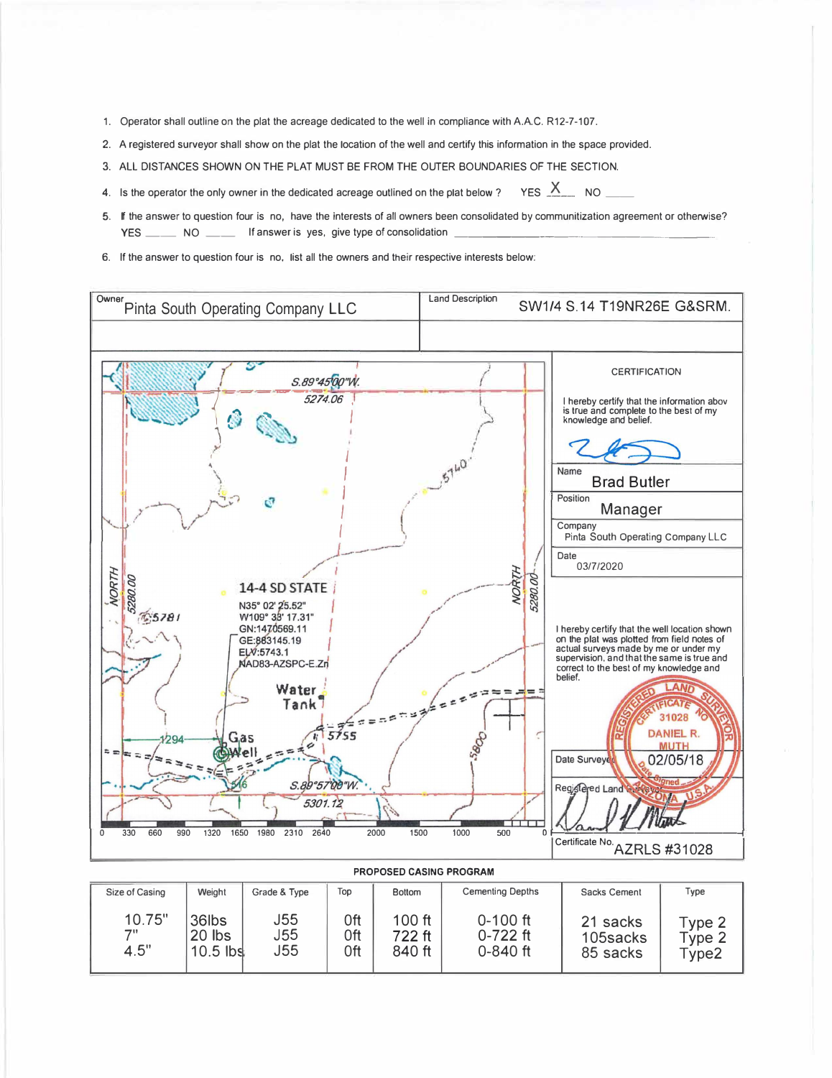- 1. Operator shall outline on the plat the acreage dedicated to the well in compliance with A.A.C. R12-7-107.
- 2. A registered surveyor shall show on the plat the location of the well and certify this information in the space provided.
- 3. ALL DISTANCES SHOWN ON THE PLAT MUST BE FROM THE OUTER BOUNDARIES OF THE SECTION.
- 4. Is the operator the only owner in the dedicated acreage outlined on the plat below ? YES X\_\_\_\_\_ NO
- 5. If the answer to question four is no, have the interests of all owners been consolidated by communitization agreement or otherwise? YES \_\_\_\_\_\_\_\_\_\_ NO \_\_\_\_\_\_\_\_\_\_\_ If answer is yes, give type of consolidation
- 6. If the answer to question four is no, list all the owners and their respective interests below: